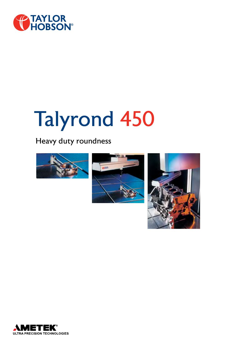

# Talyrond 450

# Heavy duty roundness







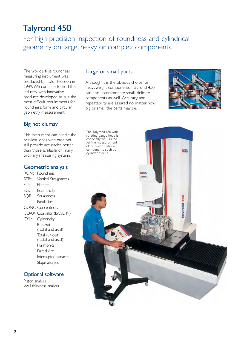# Talyrond 450

For high precision inspection of roundness and cylindrical geometry on large, heavy or complex components.

The world's first roundness measuring instrument was produced by Taylor Hobson in 1949. We continue to lead the industry with innovative products developed to suit the most difficult requirements for roundness, form and circular geometry measurement.

## Big not clumsy

This instrument can handle the heaviest loads with ease, yet still provide accuracies better than those available on many ordinary measuring systems.

#### Geometric analysis

RONt Roundness STRt Vertical Straightness FLTt Flatness ECC Eccentricity SQR Squareness Parallelism CONC Concentricity COAX Coaxiality (ISO/DIN) CYLc Cylindricity Run-out (radial and axial) Total run-out (radial and axial) **Harmonics** Partial Arc Interrupted surfaces Slope analysis

## Optional software

Piston analysis Wall thickness analysis

#### Large or small parts

Although it is the obvious choice for heavyweight components, Talyrond 450 can also accommodate small, delicate components as well. Accuracy and repeatability are assured no matter how big or small the parts may be.



The Talyrond 450 with rotating gauge head is especially well suited for the measurement of non-symmetrical components such as cylinder blocks

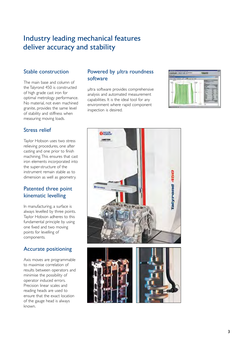# Industry leading mechanical features deliver accuracy and stability

#### Stable construction

The main base and column of the Talyrond 450 is constructed of high grade cast iron for optimal metrology performance. No material, not even machined granite, provides the same level of stability and stiffness when measuring moving loads.

#### Stress relief

Taylor Hobson uses two stress relieving procedures, one after casting and one prior to finish machining. This ensures that cast iron elements incorporated into the super-structure of the instrument remain stable as to dimension as well as geometry.

# Patented three point kinematic levelling

In manufacturing, a surface is always levelled by three points. Taylor Hobson adheres to this fundamental principle by using one fixed and two moving points for levelling of components.

## Accurate positioning

Axis moves are programmable to maximise correlation of results between operators and minimise the possibility of operator induced errors. Precision linear scales and reading heads are used to ensure that the exact location of the gauge head is always known.

## Powered by ultra roundness software

µltra software provides comprehensive analysis and automated measurement capabilities. It is the ideal tool for any environment where rapid component inspection is desired.